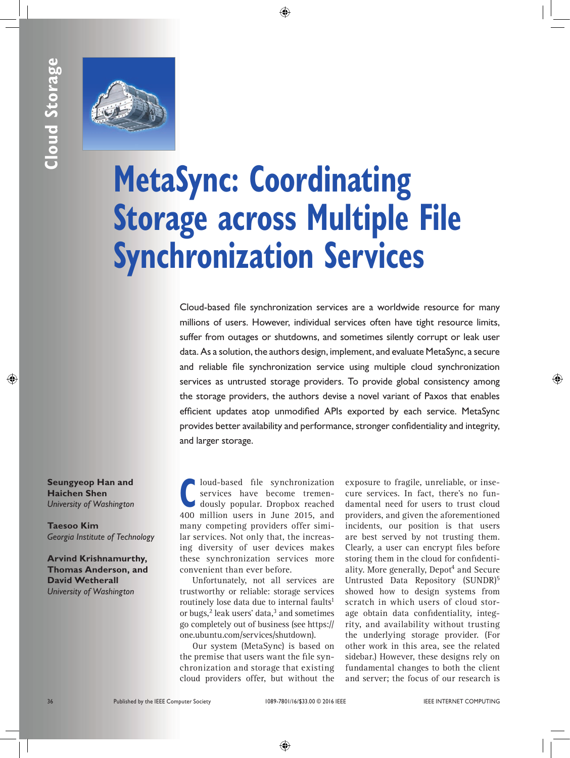

# **MetaSync: Coordinating Storage across Multiple File Synchronization Services**

**Statement Hannov Computer Society 1089-7801**<br> **Synchronization Services are a working society in the IEEE Control of the IEEE Control of the system internet society in the IEEE Computer Society 1089-7801/2012 Cloud Stress** Cloud-based file synchronization services are a worldwide resource for many millions of users. However, individual services often have tight resource limits, suffer from outages or shutdowns, and sometimes silently corrupt or leak user data. As a solution, the authors design, implement, and evaluate MetaSync, a secure and reliable file synchronization service using multiple cloud synchronization services as untrusted storage providers. To provide global consistency among the storage providers, the authors devise a novel variant of Paxos that enables efficient updates atop unmodified APIs exported by each service. MetaSync provides better availability and performance, stronger confidentiality and integrity, and larger storage.

**Seungyeop Han and Haichen Shen** *University of Washington*

**Taesoo Kim** *Georgia Institute of Technology*

**Arvind Krishnamurthy, Thomas Anderson, and David Wetherall** *University of Washington*

**C**loud-based file synchronization<br>
services have become tremen-<br>
dously popular. Dropbox reached services have become tremen-400 million users in June 2015, and many competing providers offer similar services. Not only that, the increasing diversity of user devices makes these synchronization services more convenient than ever before.

Unfortunately, not all services are trustworthy or reliable: storage services routinely lose data due to internal faults $1$ or bugs,<sup>2</sup> leak users' data,<sup>3</sup> and sometimes go completely out of business (see https:// one.ubuntu.com/services/shutdown).

Our system (MetaSync) is based on the premise that users want the file synchronization and storage that existing cloud providers offer, but without the exposure to fragile, unreliable, or insecure services. In fact, there's no fundamental need for users to trust cloud providers, and given the aforementioned incidents, our position is that users are best served by not trusting them. Clearly, a user can encrypt files before storing them in the cloud for confidentiality. More generally, Depot<sup>4</sup> and Secure Untrusted Data Repository (SUNDR)5 showed how to design systems from scratch in which users of cloud storage obtain data confidentiality, integrity, and availability without trusting the underlying storage provider. (For other work in this area, see the related sidebar.) However, these designs rely on fundamental changes to both the client and server; the focus of our research is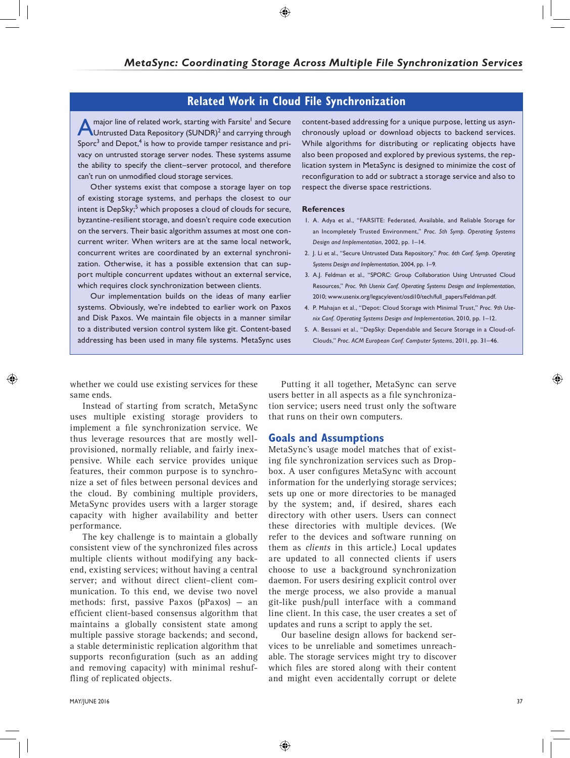# **Related Work in Cloud File Synchronization**

**A** major line of related work, starting with Farsite<sup>1</sup> and Secure<br>Untrusted Data Repository (SUNDR)<sup>2</sup> and carrying through major line of related work, starting with Farsite<sup>l</sup> and Secure Sporc<sup>3</sup> and Depot,<sup>4</sup> is how to provide tamper resistance and privacy on untrusted storage server nodes. These systems assume the ability to specify the client–server protocol, and therefore can't run on unmodified cloud storage services.

Other systems exist that compose a storage layer on top of existing storage systems, and perhaps the closest to our intent is DepSky;<sup>5</sup> which proposes a cloud of clouds for secure, byzantine-resilient storage, and doesn't require code execution on the servers. Their basic algorithm assumes at most one concurrent writer. When writers are at the same local network, concurrent writes are coordinated by an external synchronization. Otherwise, it has a possible extension that can support multiple concurrent updates without an external service, which requires clock synchronization between clients.

Our implementation builds on the ideas of many earlier systems. Obviously, we're indebted to earlier work on Paxos and Disk Paxos. We maintain file objects in a manner similar to a distributed version control system like git. Content-based addressing has been used in many file systems. MetaSync uses content-based addressing for a unique purpose, letting us asynchronously upload or download objects to backend services. While algorithms for distributing or replicating objects have also been proposed and explored by previous systems, the replication system in MetaSync is designed to minimize the cost of reconfiguration to add or subtract a storage service and also to respect the diverse space restrictions.

#### **References**

- 1. A. Adya et al., "FARSITE: Federated, Available, and Reliable Storage for an Incompletely Trusted Environment," *Proc. 5th Symp. Operating Systems Design and Implementation*, 2002, pp. 1–14.
- 2. J. Li et al., "Secure Untrusted Data Repository," *Proc. 6th Conf. Symp. Operating Systems Design and Implementation*, 2004, pp. 1–9.
- 3. A.J. Feldman et al., "SPORC: Group Collaboration Using Untrusted Cloud Resources," *Proc. 9th Usenix Conf. Operating Systems Design and Implementation*, 2010; www.usenix.org/legacy/event/osdi10/tech/full\_papers/Feldman.pdf.
- 4. P. Mahajan et al., "Depot: Cloud Storage with Minimal Trust," *Proc. 9th Usenix Conf. Operating Systems Design and Implementation*, 2010, pp. 1–12.
- 5. A. Bessani et al., "DepSky: Dependable and Secure Storage in a Cloud-of-Clouds," *Proc. ACM European Conf. Computer Systems*, 2011, pp. 31–46.

whether we could use existing services for these same ends.

Instead of starting from scratch, MetaSync uses multiple existing storage providers to implement a file synchronization service. We thus leverage resources that are mostly wellprovisioned, normally reliable, and fairly inexpensive. While each service provides unique features, their common purpose is to synchronize a set of files between personal devices and the cloud. By combining multiple providers, MetaSync provides users with a larger storage capacity with higher availability and better performance.

The key challenge is to maintain a globally consistent view of the synchronized files across multiple clients without modifying any backend, existing services; without having a central server; and without direct client–client communication. To this end, we devise two novel methods: first, passive Paxos (pPaxos) — an efficient client-based consensus algorithm that maintains a globally consistent state among multiple passive storage backends; and second, a stable deterministic replication algorithm that supports reconfiguration (such as an adding and removing capacity) with minimal reshuffling of replicated objects.

Putting it all together, MetaSync can serve users better in all aspects as a file synchronization service; users need trust only the software that runs on their own computers.

# **Goals and Assumptions**

MetaSync's usage model matches that of existing file synchronization services such as Dropbox. A user configures MetaSync with account information for the underlying storage services; sets up one or more directories to be managed by the system; and, if desired, shares each directory with other users. Users can connect these directories with multiple devices. (We refer to the devices and software running on them as *clients* in this article.) Local updates are updated to all connected clients if users choose to use a background synchronization daemon. For users desiring explicit control over the merge process, we also provide a manual git-like push/pull interface with a command line client. In this case, the user creates a set of updates and runs a script to apply the set.

Our baseline design allows for backend services to be unreliable and sometimes unreachable. The storage services might try to discover which files are stored along with their content and might even accidentally corrupt or delete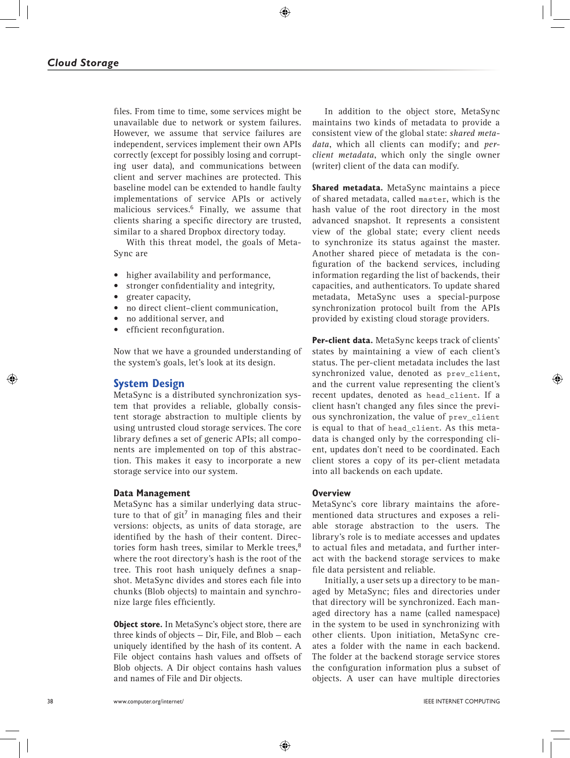files. From time to time, some services might be unavailable due to network or system failures. However, we assume that service failures are independent, services implement their own APIs correctly (except for possibly losing and corrupting user data), and communications between client and server machines are protected. This baseline model can be extended to handle faulty implementations of service APIs or actively malicious services.<sup>6</sup> Finally, we assume that clients sharing a specific directory are trusted, similar to a shared Dropbox directory today.

With this threat model, the goals of Meta-Sync are

- higher availability and performance,
- stronger confidentiality and integrity,
- greater capacity,
- no direct client-client communication,
- no additional server, and
- efficient reconfiguration.

Now that we have a grounded understanding of the system's goals, let's look at its design.

# **System Design**

MetaSync is a distributed synchronization system that provides a reliable, globally consistent storage abstraction to multiple clients by using untrusted cloud storage services. The core library defines a set of generic APIs; all components are implemented on top of this abstraction. This makes it easy to incorporate a new storage service into our system.

#### **Data Management**

MetaSync has a similar underlying data structure to that of  $git^7$  in managing files and their versions: objects, as units of data storage, are identified by the hash of their content. Directories form hash trees, similar to Merkle trees,<sup>8</sup> where the root directory's hash is the root of the tree. This root hash uniquely defines a snapshot. MetaSync divides and stores each file into chunks (Blob objects) to maintain and synchronize large files efficiently.

**Object store.** In MetaSync's object store, there are three kinds of objects — Dir, File, and Blob — each uniquely identified by the hash of its content. A File object contains hash values and offsets of Blob objects. A Dir object contains hash values and names of File and Dir objects.

In addition to the object store, MetaSync maintains two kinds of metadata to provide a consistent view of the global state: *shared metadata*, which all clients can modify; and *perclient metadata*, which only the single owner (writer) client of the data can modify.

**Shared metadata.** MetaSync maintains a piece of shared metadata, called master, which is the hash value of the root directory in the most advanced snapshot. It represents a consistent view of the global state; every client needs to synchronize its status against the master. Another shared piece of metadata is the configuration of the backend services, including information regarding the list of backends, their capacities, and authenticators. To update shared metadata, MetaSync uses a special-purpose synchronization protocol built from the APIs provided by existing cloud storage providers.

**Per-client data.** MetaSync keeps track of clients' states by maintaining a view of each client's status. The per-client metadata includes the last synchronized value, denoted as prev\_client, and the current value representing the client's recent updates, denoted as head\_client. If a client hasn't changed any files since the previous synchronization, the value of prev\_client is equal to that of head\_client. As this metadata is changed only by the corresponding client, updates don't need to be coordinated. Each client stores a copy of its per-client metadata into all backends on each update.

#### **Overview**

MetaSync's core library maintains the aforementioned data structures and exposes a reliable storage abstraction to the users. The library's role is to mediate accesses and updates to actual files and metadata, and further interact with the backend storage services to make file data persistent and reliable.

Initially, a user sets up a directory to be managed by MetaSync; files and directories under that directory will be synchronized. Each managed directory has a name (called namespace) in the system to be used in synchronizing with other clients. Upon initiation, MetaSync creates a folder with the name in each backend. The folder at the backend storage service stores the configuration information plus a subset of objects. A user can have multiple directories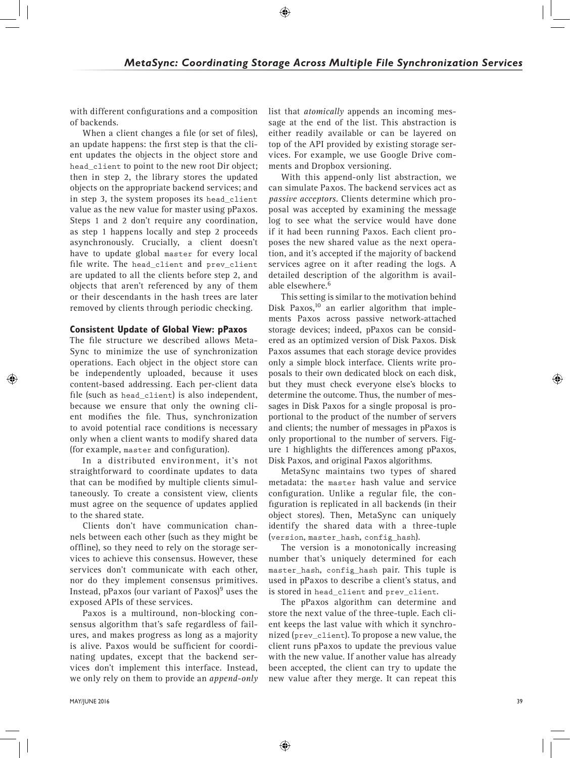with different configurations and a composition of backends.

When a client changes a file (or set of files), an update happens: the first step is that the client updates the objects in the object store and head\_client to point to the new root Dir object; then in step 2, the library stores the updated objects on the appropriate backend services; and in step 3, the system proposes its head\_client value as the new value for master using pPaxos. Steps 1 and 2 don't require any coordination, as step 1 happens locally and step 2 proceeds asynchronously. Crucially, a client doesn't have to update global master for every local file write. The head\_client and prev\_client are updated to all the clients before step 2, and objects that aren't referenced by any of them or their descendants in the hash trees are later removed by clients through periodic checking.

## **Consistent Update of Global View: pPaxos**

The file structure we described allows Meta-Sync to minimize the use of synchronization operations. Each object in the object store can be independently uploaded, because it uses content-based addressing. Each per-client data file (such as head\_client) is also independent, because we ensure that only the owning client modifies the file. Thus, synchronization to avoid potential race conditions is necessary only when a client wants to modify shared data (for example, master and configuration).

In a distributed environment, it's not straightforward to coordinate updates to data that can be modified by multiple clients simultaneously. To create a consistent view, clients must agree on the sequence of updates applied to the shared state.

Clients don't have communication channels between each other (such as they might be offline), so they need to rely on the storage services to achieve this consensus. However, these services don't communicate with each other, nor do they implement consensus primitives. Instead, pPaxos (our variant of Paxos) $9$  uses the exposed APIs of these services.

Paxos is a multiround, non-blocking consensus algorithm that's safe regardless of failures, and makes progress as long as a majority is alive. Paxos would be sufficient for coordinating updates, except that the backend services don't implement this interface. Instead, we only rely on them to provide an *append-only* list that *atomically* appends an incoming message at the end of the list. This abstraction is either readily available or can be layered on top of the API provided by existing storage services. For example, we use Google Drive comments and Dropbox versioning.

With this append-only list abstraction, we can simulate Paxos. The backend services act as *passive acceptors*. Clients determine which proposal was accepted by examining the message log to see what the service would have done if it had been running Paxos. Each client proposes the new shared value as the next operation, and it's accepted if the majority of backend services agree on it after reading the logs. A detailed description of the algorithm is available elsewhere.<sup>6</sup>

This setting is similar to the motivation behind Disk Paxos, $10$  an earlier algorithm that implements Paxos across passive network-attached storage devices; indeed, pPaxos can be considered as an optimized version of Disk Paxos. Disk Paxos assumes that each storage device provides only a simple block interface. Clients write proposals to their own dedicated block on each disk, but they must check everyone else's blocks to determine the outcome. Thus, the number of messages in Disk Paxos for a single proposal is proportional to the product of the number of servers and clients; the number of messages in pPaxos is only proportional to the number of servers. Figure 1 highlights the differences among pPaxos, Disk Paxos, and original Paxos algorithms.

MetaSync maintains two types of shared metadata: the master hash value and service configuration. Unlike a regular file, the configuration is replicated in all backends (in their object stores). Then, MetaSync can uniquely identify the shared data with a three-tuple (version, master\_hash, config\_hash).

The version is a monotonically increasing number that's uniquely determined for each master\_hash, config\_hash pair. This tuple is used in pPaxos to describe a client's status, and is stored in head\_client and prev\_client.

The pPaxos algorithm can determine and store the next value of the three-tuple. Each client keeps the last value with which it synchronized (prev\_client). To propose a new value, the client runs pPaxos to update the previous value with the new value. If another value has already been accepted, the client can try to update the new value after they merge. It can repeat this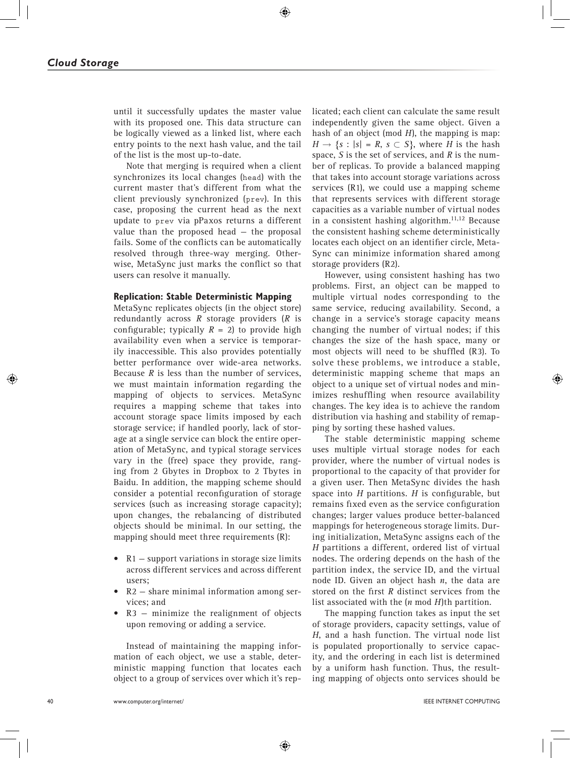until it successfully updates the master value with its proposed one. This data structure can be logically viewed as a linked list, where each entry points to the next hash value, and the tail of the list is the most up-to-date.

Note that merging is required when a client synchronizes its local changes (head) with the current master that's different from what the client previously synchronized (prev). In this case, proposing the current head as the next update to prev via pPaxos returns a different value than the proposed head — the proposal fails. Some of the conflicts can be automatically resolved through three-way merging. Otherwise, MetaSync just marks the conflict so that users can resolve it manually.

#### **Replication: Stable Deterministic Mapping**

MetaSync replicates objects (in the object store) redundantly across *R* storage providers (*R* is configurable; typically  $R = 2$ ) to provide high availability even when a service is temporarily inaccessible. This also provides potentially better performance over wide-area networks. Because *R* is less than the number of services, we must maintain information regarding the mapping of objects to services. MetaSync requires a mapping scheme that takes into account storage space limits imposed by each storage service; if handled poorly, lack of storage at a single service can block the entire operation of MetaSync, and typical storage services vary in the (free) space they provide, ranging from 2 Gbytes in Dropbox to 2 Tbytes in Baidu. In addition, the mapping scheme should consider a potential reconfiguration of storage services (such as increasing storage capacity); upon changes, the rebalancing of distributed objects should be minimal. In our setting, the mapping should meet three requirements (R):

- $R1$  support variations in storage size limits across different services and across different users;
- R2 share minimal information among services; and
- R3 minimize the realignment of objects upon removing or adding a service.

Instead of maintaining the mapping information of each object, we use a stable, deterministic mapping function that locates each object to a group of services over which it's rep-

licated; each client can calculate the same result independently given the same object. Given a hash of an object (mod *H*), the mapping is map:  $H \rightarrow \{s : |s| = R, s \subset S\}$ , where *H* is the hash space, *S* is the set of services, and *R* is the number of replicas. To provide a balanced mapping that takes into account storage variations across services (R1), we could use a mapping scheme that represents services with different storage capacities as a variable number of virtual nodes in a consistent hashing algorithm. $11,12$  Because the consistent hashing scheme deterministically locates each object on an identifier circle, Meta-Sync can minimize information shared among storage providers (R2).

However, using consistent hashing has two problems. First, an object can be mapped to multiple virtual nodes corresponding to the same service, reducing availability. Second, a change in a service's storage capacity means changing the number of virtual nodes; if this changes the size of the hash space, many or most objects will need to be shuffled (R3). To solve these problems, we introduce a stable, deterministic mapping scheme that maps an object to a unique set of virtual nodes and minimizes reshuffling when resource availability changes. The key idea is to achieve the random distribution via hashing and stability of remapping by sorting these hashed values.

The stable deterministic mapping scheme uses multiple virtual storage nodes for each provider, where the number of virtual nodes is proportional to the capacity of that provider for a given user. Then MetaSync divides the hash space into *H* partitions. *H* is configurable, but remains fixed even as the service configuration changes; larger values produce better-balanced mappings for heterogeneous storage limits. During initialization, MetaSync assigns each of the *H* partitions a different, ordered list of virtual nodes. The ordering depends on the hash of the partition index, the service ID, and the virtual node ID. Given an object hash *n*, the data are stored on the first *R* distinct services from the list associated with the (*n* mod *H*)th partition.

The mapping function takes as input the set of storage providers, capacity settings, value of *H*, and a hash function. The virtual node list is populated proportionally to service capacity, and the ordering in each list is determined by a uniform hash function. Thus, the resulting mapping of objects onto services should be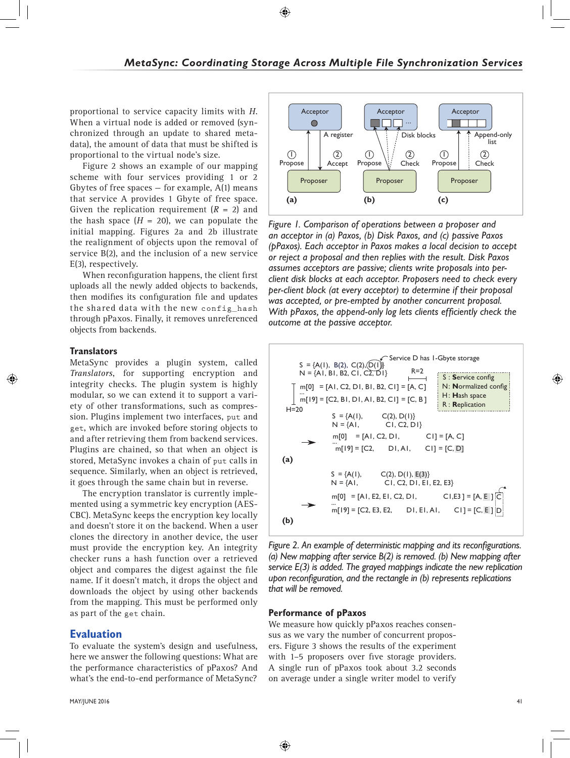proportional to service capacity limits with *H*. When a virtual node is added or removed (synchronized through an update to shared metadata), the amount of data that must be shifted is proportional to the virtual node's size.

Figure 2 shows an example of our mapping scheme with four services providing 1 or 2 Gbytes of free spaces  $-$  for example,  $A(1)$  means that service A provides 1 Gbyte of free space. Given the replication requirement  $(R = 2)$  and the hash space  $(H = 20)$ , we can populate the initial mapping. Figures 2a and 2b illustrate the realignment of objects upon the removal of service B(2), and the inclusion of a new service E(3), respectively.

When reconfiguration happens, the client first uploads all the newly added objects to backends, then modifies its configuration file and updates the shared data with the new config\_hash through pPaxos. Finally, it removes unreferenced objects from backends.

# **Translators**

MetaSync provides a plugin system, called *Translators*, for supporting encryption and integrity checks. The plugin system is highly modular, so we can extend it to support a variety of other transformations, such as compression. Plugins implement two interfaces, put and get, which are invoked before storing objects to and after retrieving them from backend services. Plugins are chained, so that when an object is stored, MetaSync invokes a chain of put calls in sequence. Similarly, when an object is retrieved, it goes through the same chain but in reverse.

The encryption translator is currently implemented using a symmetric key encryption (AES-CBC). MetaSync keeps the encryption key locally and doesn't store it on the backend. When a user clones the directory in another device, the user must provide the encryption key. An integrity checker runs a hash function over a retrieved object and compares the digest against the file name. If it doesn't match, it drops the object and downloads the object by using other backends from the mapping. This must be performed only as part of the get chain.

# **Evaluation**

To evaluate the system's design and usefulness, here we answer the following questions: What are the performance characteristics of pPaxos? And what's the end-to-end performance of MetaSync?



*Figure 1. Comparison of operations between a proposer and an acceptor in (a) Paxos, (b) Disk Paxos, and (c) passive Paxos (pPaxos). Each acceptor in Paxos makes a local decision to accept or reject a proposal and then replies with the result. Disk Paxos assumes acceptors are passive; clients write proposals into perclient disk blocks at each acceptor. Proposers need to check every per-client block (at every acceptor) to determine if their proposal was accepted, or pre-empted by another concurrent proposal. With pPaxos, the append-only log lets clients efficiently check the outcome at the passive acceptor.*



*Figure 2. An example of deterministic mapping and its reconfigurations. (a) New mapping after service B(2) is removed. (b) New mapping after service E(3) is added. The grayed mappings indicate the new replication upon reconfiguration, and the rectangle in (b) represents replications that will be removed.*

## **Performance of pPaxos**

We measure how quickly pPaxos reaches consensus as we vary the number of concurrent proposers. Figure 3 shows the results of the experiment with 1–5 proposers over five storage providers. A single run of pPaxos took about 3.2 seconds on average under a single writer model to verify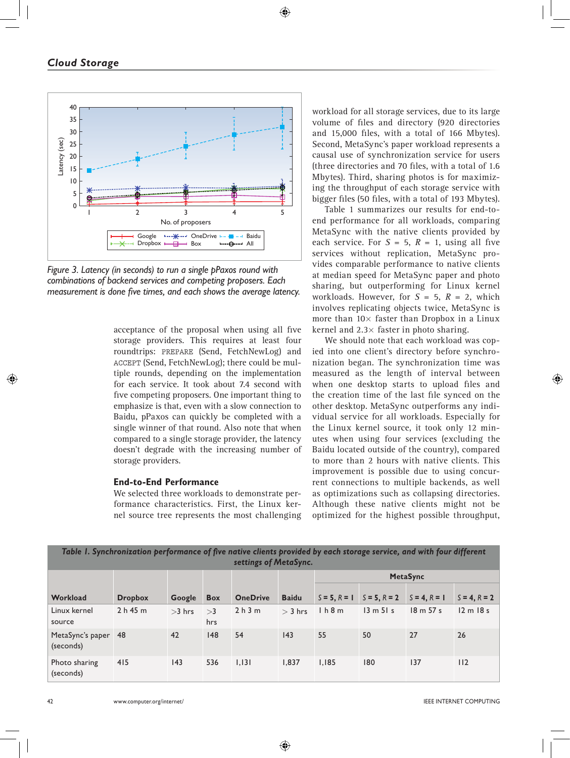

*Figure 3. Latency (in seconds) to run a single pPaxos round with combinations of backend services and competing proposers. Each measurement is done five times, and each shows the average latency.*

acceptance of the proposal when using all five storage providers. This requires at least four roundtrips: PREPARE (Send, FetchNewLog) and ACCEPT (Send, FetchNewLog); there could be multiple rounds, depending on the implementation for each service. It took about 7.4 second with five competing proposers. One important thing to emphasize is that, even with a slow connection to Baidu, pPaxos can quickly be completed with a single winner of that round. Also note that when compared to a single storage provider, the latency doesn't degrade with the increasing number of storage providers.

#### **End-to-End Performance**

We selected three workloads to demonstrate performance characteristics. First, the Linux kernel source tree represents the most challenging workload for all storage services, due to its large volume of files and directory (920 directories and 15,000 files, with a total of 166 Mbytes). Second, MetaSync's paper workload represents a causal use of synchronization service for users (three directories and 70 files, with a total of 1.6 Mbytes). Third, sharing photos is for maximizing the throughput of each storage service with bigger files (50 files, with a total of 193 Mbytes).

Table 1 summarizes our results for end-toend performance for all workloads, comparing MetaSync with the native clients provided by each service. For  $S = 5$ ,  $R = 1$ , using all five services without replication, MetaSync provides comparable performance to native clients at median speed for MetaSync paper and photo sharing, but outperforming for Linux kernel workloads. However, for  $S = 5$ ,  $R = 2$ , which involves replicating objects twice, MetaSync is more than  $10\times$  faster than Dropbox in a Linux kernel and  $2.3\times$  faster in photo sharing.

We should note that each workload was copied into one client's directory before synchronization began. The synchronization time was measured as the length of interval between when one desktop starts to upload files and the creation time of the last file synced on the other desktop. MetaSync outperforms any individual service for all workloads. Especially for the Linux kernel source, it took only 12 minutes when using four services (excluding the Baidu located outside of the country), compared to more than 2 hours with native clients. This improvement is possible due to using concurrent connections to multiple backends, as well as optimizations such as collapsing directories. Although these native clients might not be optimized for the highest possible throughput,

*Table 1. Synchronization performance of five native clients provided by each storage service, and with four different settings of MetaSync.*

|                                  |                |          |            |                 |              | <b>MetaSync</b> |                                              |                              |                |
|----------------------------------|----------------|----------|------------|-----------------|--------------|-----------------|----------------------------------------------|------------------------------|----------------|
| <b>Workload</b>                  | <b>Dropbox</b> | Google   | <b>Box</b> | <b>OneDrive</b> | <b>Baidu</b> |                 | $S = 5, R = 1$ $S = 5, R = 2$ $S = 4, R = 1$ |                              | $S = 4, R = 2$ |
| Linux kernel<br>source           | 2 h 45 m       | $>3$ hrs | >3<br>hrs  | 2 h 3 m         | $>$ 3 hrs    | 1 h 8 m         | $13 \text{ m } 51 \text{ s}$                 | $18 \text{ m } 57 \text{ s}$ | 12 m 18 s      |
| MetaSync's paper 48<br>(seconds) |                | 42       | 48         | 54              | 143          | 55              | 50                                           | 27                           | 26             |
| Photo sharing<br>(seconds)       | 415            | 143      | 536        | 1,131           | 1,837        | 1,185           | 180                                          | 137                          | 112            |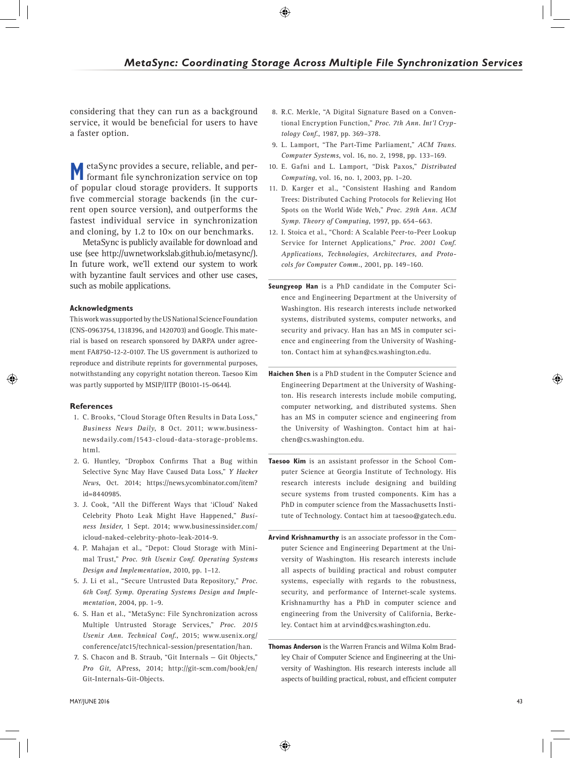considering that they can run as a background service, it would be beneficial for users to have a faster option.

**M**etaSync provides a secure, reliable, and per-formant file synchronization service on top of popular cloud storage providers. It supports five commercial storage backends (in the current open source version), and outperforms the fastest individual service in synchronization and cloning, by 1.2 to 10× on our benchmarks.

MetaSync is publicly available for download and use (see http://uwnetworkslab.github.io/metasync/). In future work, we'll extend our system to work with byzantine fault services and other use cases, such as mobile applications.

#### **Acknowledgments**

This work was supported by the US National Science Foundation (CNS-0963754, 1318396, and 1420703) and Google. This material is based on research sponsored by DARPA under agreement FA8750-12-2-0107. The US government is authorized to reproduce and distribute reprints for governmental purposes, notwithstanding any copyright notation thereon. Taesoo Kim was partly supported by MSIP/IITP (B0101-15-0644).

#### **References**

- 1. C. Brooks, "Cloud Storage Often Results in Data Loss," *Business News Daily*, 8 Oct. 2011; www.businessnewsdaily.com/1543-cloud-data-storage-problems. html.
- 2. G. Huntley, "Dropbox Confirms That a Bug within Selective Sync May Have Caused Data Loss," *Y Hacker News*, Oct. 2014; https://news.ycombinator.com/item? id=8440985.
- 3. J. Cook, "All the Different Ways that 'iCloud' Naked Celebrity Photo Leak Might Have Happened," *Business Insider*, 1 Sept. 2014; www.businessinsider.com/ icloud-naked-celebrity-photo-leak-2014-9.
- 4. P. Mahajan et al., "Depot: Cloud Storage with Minimal Trust," *Proc. 9th Usenix Conf. Operating Systems Design and Implementation*, 2010, pp. 1–12.
- 5. J. Li et al., "Secure Untrusted Data Repository," *Proc. 6th Conf. Symp. Operating Systems Design and Implementation*, 2004, pp. 1–9.
- 6. S. Han et al., "MetaSync: File Synchronization across Multiple Untrusted Storage Services," *Proc. 2015 Usenix Ann. Technical Conf*., 2015; www.usenix.org/ conference/atc15/technical-session/presentation/han.
- 7. S. Chacon and B. Straub, "Git Internals Git Objects," *Pro Git*, APress, 2014; http://git-scm.com/book/en/ Git-Internals-Git-Objects.
- 8. R.C. Merkle, "A Digital Signature Based on a Conventional Encryption Function," *Proc. 7th Ann. Int'l Cryptology Conf*., 1987, pp. 369–378.
- 9. L. Lamport, "The Part-Time Parliament," *ACM Trans. Computer Systems*, vol. 16, no. 2, 1998, pp. 133–169.
- 10. E. Gafni and L. Lamport, "Disk Paxos," *Distributed Computing*, vol. 16, no. 1, 2003, pp. 1–20.
- 11. D. Karger et al., "Consistent Hashing and Random Trees: Distributed Caching Protocols for Relieving Hot Spots on the World Wide Web," *Proc. 29th Ann. ACM Symp. Theory of Computing*, 1997, pp. 654–663.
- 12. I. Stoica et al., "Chord: A Scalable Peer-to-Peer Lookup Service for Internet Applications," *Proc. 2001 Conf. Applications, Technologies, Architectures, and Protocols for Computer Comm.*, 2001, pp. 149–160.
- **Seungyeop Han** is a PhD candidate in the Computer Science and Engineering Department at the University of Washington. His research interests include networked systems, distributed systems, computer networks, and security and privacy. Han has an MS in computer science and engineering from the University of Washington. Contact him at syhan@cs.washington.edu.
- **Haichen Shen** is a PhD student in the Computer Science and Engineering Department at the University of Washington. His research interests include mobile computing, computer networking, and distributed systems. Shen has an MS in computer science and engineering from the University of Washington. Contact him at haichen@cs.washington.edu.
- **Taesoo Kim** is an assistant professor in the School Computer Science at Georgia Institute of Technology. His research interests include designing and building secure systems from trusted components. Kim has a PhD in computer science from the Massachusetts Institute of Technology. Contact him at taesoo@gatech.edu.
- **Arvind Krishnamurthy** is an associate professor in the Computer Science and Engineering Department at the University of Washington. His research interests include all aspects of building practical and robust computer systems, especially with regards to the robustness, security, and performance of Internet-scale systems. Krishnamurthy has a PhD in computer science and engineering from the University of California, Berkeley. Contact him at arvind@cs.washington.edu.
- **Thomas Anderson** is the Warren Francis and Wilma Kolm Bradley Chair of Computer Science and Engineering at the University of Washington. His research interests include all aspects of building practical, robust, and efficient computer